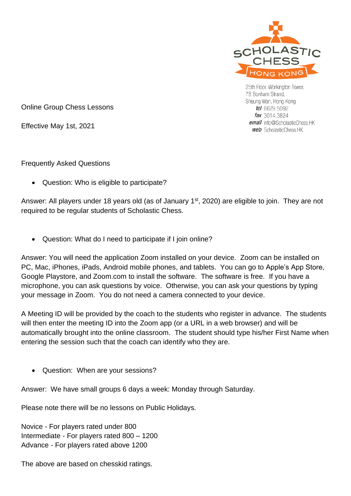

25th Floor, Workington Tower, 78 Bonham Strand, Sheung Wan, Hong Kong tel 6629.5092 fax 3014.3824 email info@ScholasticChess.HK **web** ScholasticChess.HK

Online Group Chess Lessons

Effective May 1st, 2021

Frequently Asked Questions

• Question: Who is eligible to participate?

Answer: All players under 18 years old (as of January 1<sup>st</sup>, 2020) are eligible to join. They are not required to be regular students of Scholastic Chess.

• Question: What do I need to participate if I join online?

Answer: You will need the application Zoom installed on your device. Zoom can be installed on PC, Mac, iPhones, iPads, Android mobile phones, and tablets. You can go to Apple's App Store, Google Playstore, and Zoom.com to install the software. The software is free. If you have a microphone, you can ask questions by voice. Otherwise, you can ask your questions by typing your message in Zoom. You do not need a camera connected to your device.

A Meeting ID will be provided by the coach to the students who register in advance. The students will then enter the meeting ID into the Zoom app (or a URL in a web browser) and will be automatically brought into the online classroom. The student should type his/her First Name when entering the session such that the coach can identify who they are.

• Question: When are your sessions?

Answer: We have small groups 6 days a week: Monday through Saturday.

Please note there will be no lessons on Public Holidays.

Novice - For players rated under 800 Intermediate - For players rated 800 – 1200 Advance - For players rated above 1200

The above are based on chesskid ratings.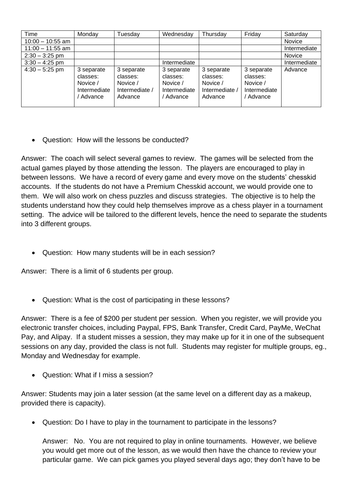| Time               | Monday                                                          | Tuesday                                                         | Wednesday                                                       | Thursday                                                        | Friday                                                          | Saturday     |
|--------------------|-----------------------------------------------------------------|-----------------------------------------------------------------|-----------------------------------------------------------------|-----------------------------------------------------------------|-----------------------------------------------------------------|--------------|
| $10:00 - 10:55$ am |                                                                 |                                                                 |                                                                 |                                                                 |                                                                 | Novice       |
| $11:00 - 11:55$ am |                                                                 |                                                                 |                                                                 |                                                                 |                                                                 | Intermediate |
| $2:30 - 3:25$ pm   |                                                                 |                                                                 |                                                                 |                                                                 |                                                                 | Novice       |
| $3:30 - 4:25$ pm   |                                                                 |                                                                 | Intermediate                                                    |                                                                 |                                                                 | Intermediate |
| $4:30 - 5:25$ pm   | 3 separate<br>classes:<br>Novice /<br>Intermediate<br>' Advance | 3 separate<br>classes:<br>Novice /<br>Intermediate /<br>Advance | 3 separate<br>classes:<br>Novice /<br>Intermediate<br>/ Advance | 3 separate<br>classes:<br>Novice /<br>Intermediate /<br>Advance | 3 separate<br>classes:<br>Novice /<br>Intermediate<br>/ Advance | Advance      |

• Question: How will the lessons be conducted?

Answer: The coach will select several games to review. The games will be selected from the actual games played by those attending the lesson. The players are encouraged to play in between lessons. We have a record of every game and every move on the students' chesskid accounts. If the students do not have a Premium Chesskid account, we would provide one to them. We will also work on chess puzzles and discuss strategies. The objective is to help the students understand how they could help themselves improve as a chess player in a tournament setting. The advice will be tailored to the different levels, hence the need to separate the students into 3 different groups.

• Question: How many students will be in each session?

Answer: There is a limit of 6 students per group.

• Question: What is the cost of participating in these lessons?

Answer: There is a fee of \$200 per student per session. When you register, we will provide you electronic transfer choices, including Paypal, FPS, Bank Transfer, Credit Card, PayMe, WeChat Pay, and Alipay. If a student misses a session, they may make up for it in one of the subsequent sessions on any day, provided the class is not full. Students may register for multiple groups, eg., Monday and Wednesday for example.

• Question: What if I miss a session?

Answer: Students may join a later session (at the same level on a different day as a makeup, provided there is capacity).

• Question: Do I have to play in the tournament to participate in the lessons?

Answer: No. You are not required to play in online tournaments. However, we believe you would get more out of the lesson, as we would then have the chance to review your particular game. We can pick games you played several days ago; they don't have to be